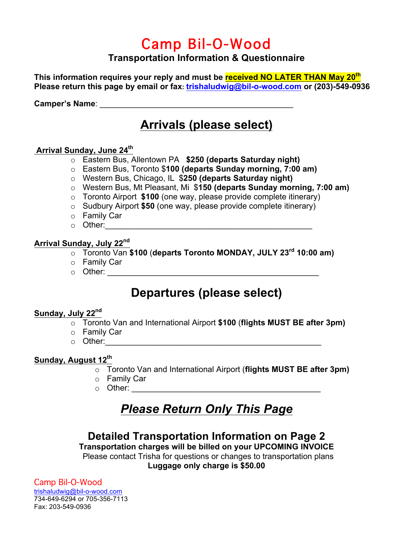# Camp Bil-O-Wood

#### **Transportation Information & Questionnaire**

**This information requires your reply and must be received NO LATER THAN May 20th Please return this page by email or fax: trishaludwig@bil-o-wood.com or (203)-549-0936**

Camper's Name: **Example 12** 

## **Arrivals (please select)**

#### **Arrival Sunday, June 24th**

- o Eastern Bus, Allentown PA **\$250 (departs Saturday night)**
- o Eastern Bus, Toronto \$**100 (departs Sunday morning, 7:00 am)**
- o Western Bus, Chicago, IL \$**250 (departs Saturday night)**
- o Western Bus, Mt Pleasant, Mi \$**150 (departs Sunday morning, 7:00 am)**
- o Toronto Airport **\$100** (one way, please provide complete itinerary)
- o Sudbury Airport **\$50** (one way, please provide complete itinerary)
- o Family Car
- $\circ$  Other:

#### **Arrival Sunday, July 22nd**

- o Toronto Van **\$100** (**departs Toronto MONDAY, JULY 23rd 10:00 am)**
- o Family Car
- $\circ$  Other:

## **Departures (please select)**

#### **Sunday, July 22nd**

- o Toronto Van and International Airport **\$100** (**flights MUST BE after 3pm)**
- o Family Car
- $\circ$  Other:

#### **Sunday, August 12th**

- o Toronto Van and International Airport (**flights MUST BE after 3pm)**
- o Family Car
- $\circ$  Other:  $\circ$

# *Please Return Only This Page*

#### **Detailed Transportation Information on Page 2**

**Transportation charges will be billed on your UPCOMING INVOICE** Please contact Trisha for questions or changes to transportation plans **Luggage only charge is \$50.00**

Camp Bil-O-Wood trishaludwig@bil-o-wood.com 734-649-6294 or 705-356-7113 Fax: 203-549-0936